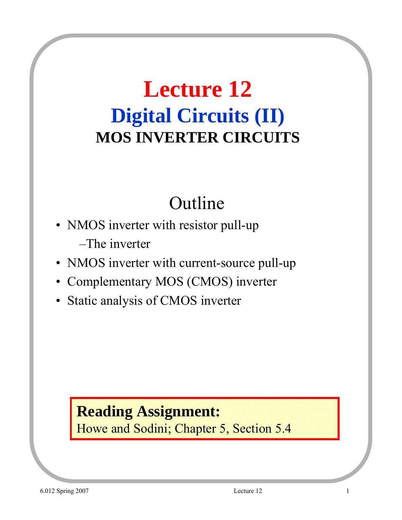# **Lecture 12 Digital Circuits (II) MOS INVERTER CIRCUITS**

## Outline

- NMOS inverter with resistor pull-up –The inverter
- NMOS inverter with current-source pull-up
- Complementary MOS (CMOS) inverter
- Static analysis of CMOS inverter

#### **Reading Assignment:**

Howe and Sodini; Chapter 5, Section 5.4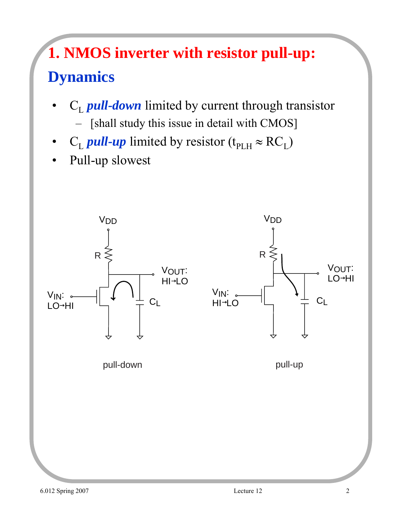## **1. NMOS inverter with resistor pull-up: Dynamics**

- C<sub>L</sub> *pull-down* limited by current through transistor
	- [shall study this issue in detail with CMOS]
- $C_L$  *pull-up* limited by resistor (t<sub>PLH</sub>  $\approx$  RC<sub>L</sub>)
- Pull-up slowest

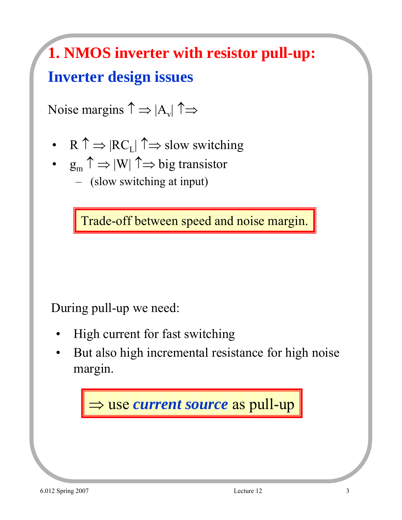# **1. NMOS inverter with resistor pull-up: Inverter design issues**

Noise margins  $\uparrow \Rightarrow |A_v| \uparrow \Rightarrow$ 

- R  $\uparrow \Rightarrow$   $|RC_L| \uparrow \Rightarrow$  slow switching
- $g_m \uparrow \Rightarrow |W| \uparrow \Rightarrow$  big transistor – (slow switching at input)

Trade-off between speed and noise margin.

#### During pull-up we need:

- High current for fast switching
- But also high incremental resistance for high noise margin.

⇒ use *current source* as pull-up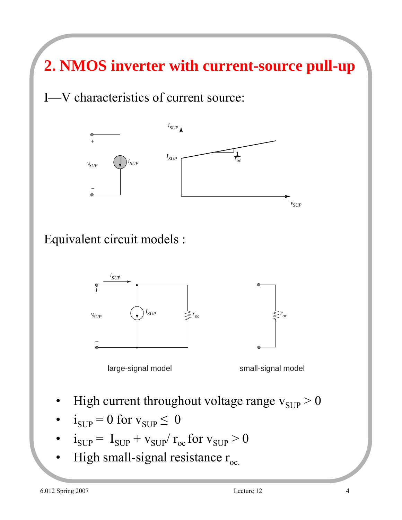**2. NMOS inverter with current-source pull-up**

I—V characteristics of current source:



Equivalent circuit models :





*roc*

- High current throughout voltage range  $v_{\text{SUP}} > 0$
- $i_{\text{SUP}} = 0$  for  $v_{\text{SUP}} \leq 0$
- $i_{\text{SUP}} = I_{\text{SUP}} + v_{\text{SUP}} / r_{\text{oc}}$  for  $v_{\text{SUP}} > 0$
- High small-signal resistance  $r_{oc.}$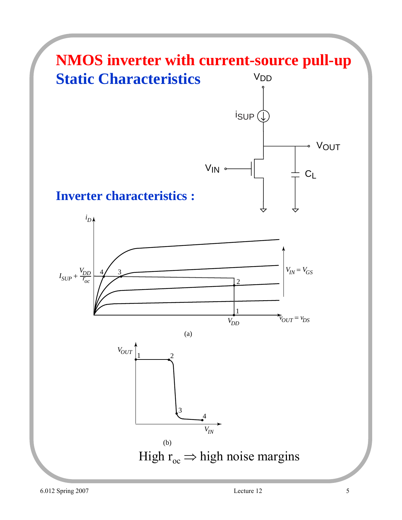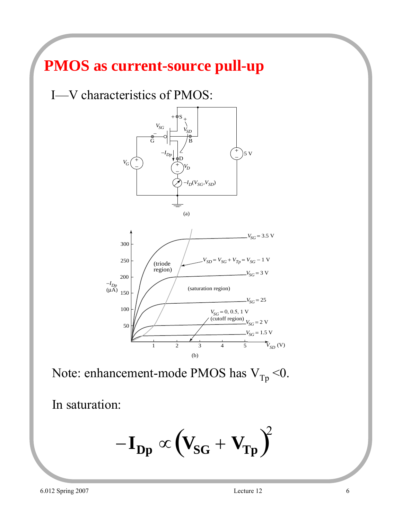#### **PMOS as current-source pull-up**

I—V characteristics of PMOS:



Note: enhancement-mode PMOS has  $V_{Tp}$  <0.

In saturation:

$$
-I_{Dp} \propto \left(V_{SG} + V_{Tp}\right)^2
$$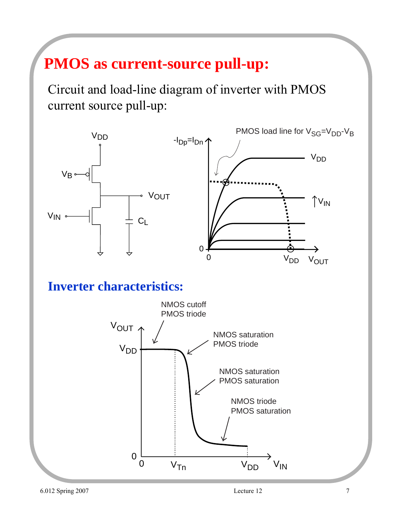#### **PMOS as current-source pull-up:**

Circuit and load-line diagram of inverter with PMOS current source pull-up:



#### **Inverter characteristics:**

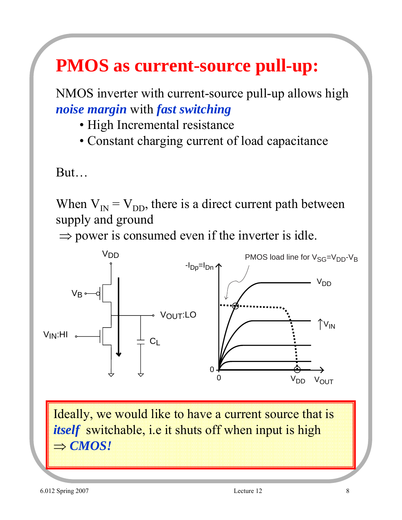## **PMOS as current-source pull-up:**

NMOS inverter with current-source pull-up allows high *noise margin* with *fast switching*

- High Incremental resistance
- Constant charging current of load capacitance

But…

When  $V_{IN} = V_{DD}$ , there is a direct current path between supply and ground

 $\Rightarrow$  power is consumed even if the inverter is idle.



Ideally, we would like to have a current source that is *itself* switchable, i.e it shuts off when input is high ⇒ *CMOS!*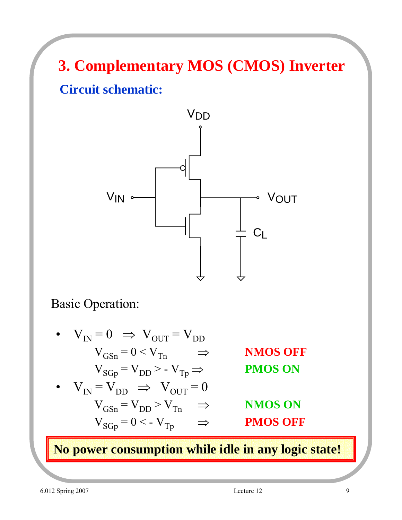**3. Complementary MOS (CMOS) Inverter Circuit schematic:**



Basic Operation:

 $V_{IN} = 0 \Rightarrow V_{OUT} = V_{DD}$  $V_{GSn} = 0 < V_{Tn} \Rightarrow$  **NMOS OFF**  $V_{SGp} = V_{DD} > -V_{Tp} \implies$  **PMOS ON**  $V_{IN} = V_{DD} \Rightarrow V_{OUT} = 0$  $V_{GSn} = V_{DD} > V_{Tn} \Rightarrow$  **NMOS ON**  $V_{SGp} = 0 < -V_{Tp}$   $\Rightarrow$  **PMOS OFF** 

**No power consumption while idle in any logic state!**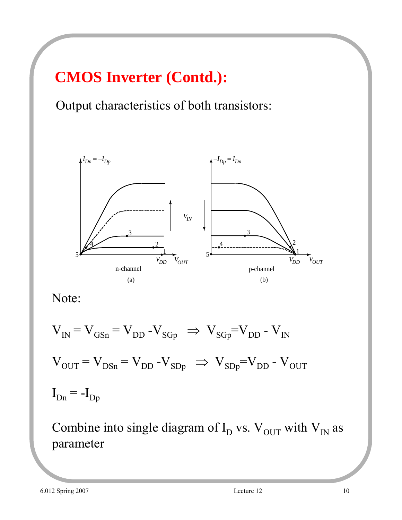### **CMOS Inverter (Contd.):**

Output characteristics of both transistors:



Note:

$$
V_{IN} = V_{GSn} = V_{DD} - V_{SGp} \Rightarrow V_{SGp} = V_{DD} - V_{IN}
$$
  

$$
V_{OUT} = V_{DSn} = V_{DD} - V_{SDp} \Rightarrow V_{SDp} = V_{DD} - V_{OUT}
$$
  

$$
I_{Dn} = -I_{Dp}
$$

Combine into single diagram of  $I_D$  vs.  $V_{OUT}$  with  $V_{IN}$  as parameter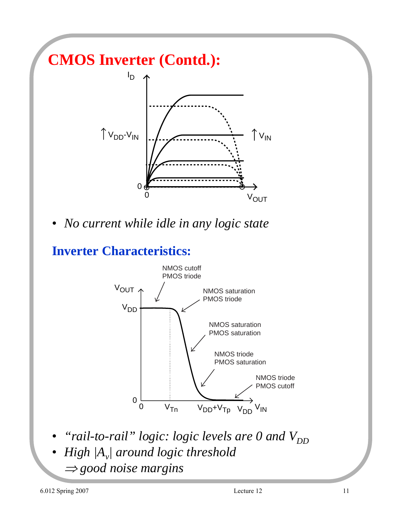## **CMOS Inverter (Contd.):**



• *No current while idle in any logic state*

**Inverter Characteristics:**



- *"rail-to-rail" logic: logic levels are 0 and V<sub>DD</sub>*
- *High |Av| around logic threshold* 
	- <sup>⇒</sup> *good noise margins*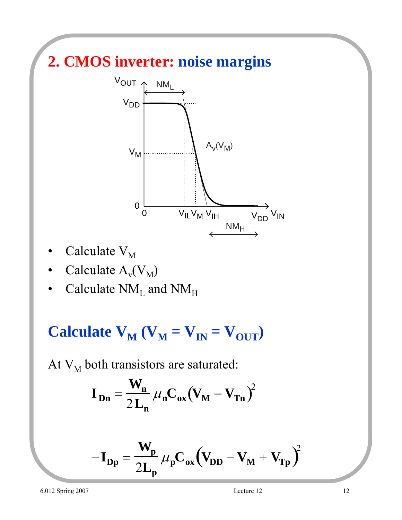### **2. CMOS inverter: noise margins**



- Calculate  $V_M$
- Calculate  $A_v(V_M)$
- Calculate  $NM_{L}$  and  $NM_{H}$

**Calculate**  $V_M$  **(** $V_M = V_{IN} = V_{OUT}$ **)** 

At  $V_M$  both transistors are saturated:

$$
\mathbf{I}_{\mathbf{Dn}} = \frac{\mathbf{W}_{\mathbf{n}}}{2\mathbf{L}_{\mathbf{n}}} \mu_{\mathbf{n}} \mathbf{C}_{\mathbf{o}\mathbf{x}} (\mathbf{V}_{\mathbf{M}} - \mathbf{V}_{\mathbf{Tn}})^2
$$

$$
-I_{Dp} = \frac{W_p}{2L_p} \mu_p C_{ox} (V_{DD} - V_M + V_{Tp})^2
$$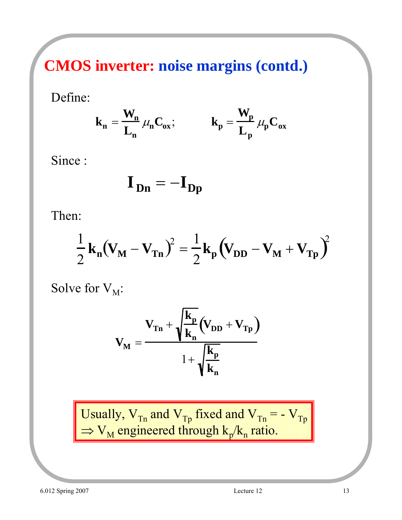**CMOS inverter: noise margins (contd.)**

Define:

$$
\mathbf{k}_n = \frac{\mathbf{W}_n}{\mathbf{L}_n} \, \mu_n \mathbf{C}_{ox}; \qquad \qquad \mathbf{k}_p = \frac{\mathbf{W}_p}{\mathbf{L}_p} \, \mu_p \mathbf{C}_{ox}
$$

Since :

$$
\mathbf{I}_{\mathbf{Dn}} = -\mathbf{I}_{\mathbf{Dp}}
$$

Then:

$$
\frac{1}{2}\mathbf{k_n}(\mathbf{V_M} - \mathbf{V_{Tn}})^2 = \frac{1}{2}\mathbf{k_p}(\mathbf{V_{DD}} - \mathbf{V_M} + \mathbf{V_{Tp}})^2
$$

Solve for  $V_M$ :

$$
V_{\mathbf{M}} = \frac{V_{\mathbf{Tn}} + \sqrt{\frac{k_{\mathbf{p}}}{k_{\mathbf{n}}}} \left(V_{\mathbf{D}\mathbf{D}} + V_{\mathbf{Tp}}\right)}{1 + \sqrt{\frac{k_{\mathbf{p}}}{k_{\mathbf{n}}}}}
$$

Usually,  $V_{Tn}$  and  $V_{Tp}$  fixed and  $V_{Tn}$  = -  $V_{Tp}$  $\Rightarrow$  V<sub>M</sub> engineered through k<sub>p</sub>/k<sub>n</sub> ratio.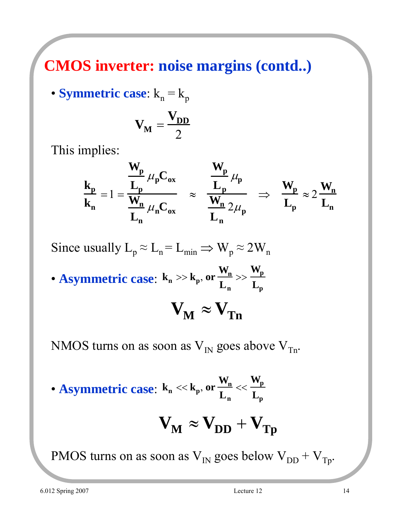#### **CMOS inverter: noise margins (contd..)**

• **Symmetric case:**  $k_n = k_p$ 

$$
\mathbf{V}_{\mathbf{M}} = \frac{\mathbf{V}_{\mathbf{DD}}}{2}
$$

This implies:

$$
\frac{k_p}{k_n} = 1 = \frac{\frac{W_p}{L_p} \mu_p C_{ox}}{\frac{W_n}{L_n} \mu_n C_{ox}} \approx \frac{\frac{W_p}{L_p} \mu_p}{\frac{W_n}{L_n} 2\mu_p} \Rightarrow \frac{W_p}{L_p} \approx 2\frac{W_n}{L_n}
$$

Since usually  $L_p \approx L_n = L_{min} \Rightarrow W_p \approx 2W_n$ 

• **Asymmetric case**: **kn** >> **kp**, **or**  $W_n$  $L_n$ >>  $\mathbf{W}_{\mathbf{p}}$  $L_{\rm p}$ 

$$
\mathbf{V}_{\mathbf{M}} \approx \mathbf{V}_{\mathbf{Tn}}
$$

NMOS turns on as soon as  $V_{IN}$  goes above  $V_{Tn}$ .

• **Asymmetric case**: **kn** << **kp**, **or**  $W_n$  $L_n$  $<<$  $\mathbf{W}_{\mathbf{p}}$  $L_{\rm p}$ 

$$
\mathbf{V}_{\mathbf{M}} \approx \mathbf{V}_{\mathbf{DD}} + \mathbf{V}_{\mathbf{Tp}}
$$

PMOS turns on as soon as  $V_{IN}$  goes below  $V_{DD} + V_{Tp}$ .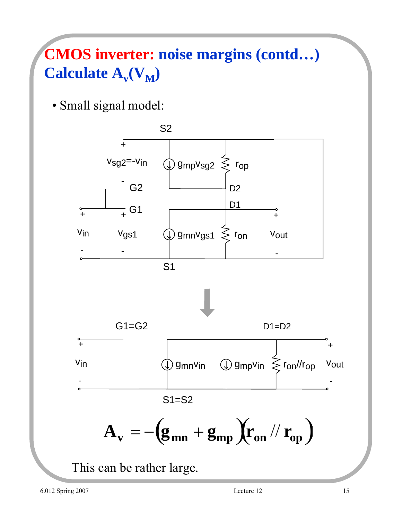## **CMOS inverter: noise margins (contd…) Calculate**  $A_v(V_M)$

• Small signal model:

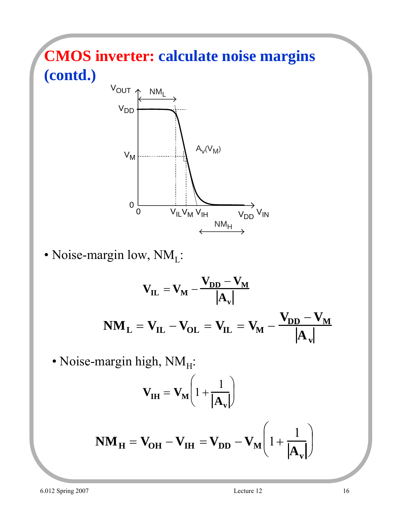## **CMOS inverter: calculate noise margins (contd.)**



• Noise-margin low,  $NM_L$ :

$$
V_{IL} = V_M - \frac{V_{DD} - V_M}{|A_v|}
$$

$$
N M_L = V_{IL} - V_{OL} = V_{IL} = V_M - \frac{V_{DD} - V_M}{|A_v|}
$$

• Noise-margin high,  $NM_H$ :

$$
\mathbf{V}_{\mathbf{IH}} = \mathbf{V}_{\mathbf{M}} \left( 1 + \frac{1}{|\mathbf{A}_{\mathbf{v}}|} \right)
$$

$$
\mathbf{NM}_{\mathbf{H}} = \mathbf{V}_{\mathbf{OH}} - \mathbf{V}_{\mathbf{IH}} = \mathbf{V}_{\mathbf{DD}} - \mathbf{V}_{\mathbf{M}} \left( 1 + \frac{1}{|\mathbf{A}_{\mathbf{v}}|} \right)
$$